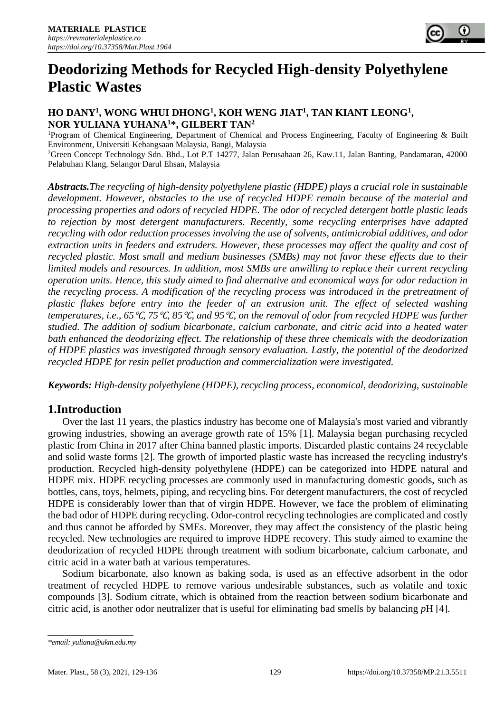

# **Deodorizing Methods for Recycled High-density Polyethylene Plastic Wastes**

# **HO DANY<sup>1</sup> , WONG WHUI DHONG<sup>1</sup> , KOH WENG JIAT<sup>1</sup> , TAN KIANT LEONG<sup>1</sup> , NOR YULIANA YUHANA<sup>1</sup>\*, GILBERT TAN<sup>2</sup>**

<sup>1</sup>Program of Chemical Engineering, Department of Chemical and Process Engineering, Faculty of Engineering & Built Environment, Universiti Kebangsaan Malaysia, Bangi, Malaysia <sup>2</sup>Green Concept Technology Sdn. Bhd., Lot P.T 14277, Jalan Perusahaan 26, Kaw.11, Jalan Banting, Pandamaran, 42000 Pelabuhan Klang, Selangor Darul Ehsan, Malaysia

*Abstracts.The recycling of high-density polyethylene plastic (HDPE) plays a crucial role in sustainable development. However, obstacles to the use of recycled HDPE remain because of the material and processing properties and odors of recycled HDPE. The odor of recycled detergent bottle plastic leads to rejection by most detergent manufacturers. Recently, some recycling enterprises have adapted recycling with odor reduction processes involving the use of solvents, antimicrobial additives, and odor extraction units in feeders and extruders. However, these processes may affect the quality and cost of recycled plastic. Most small and medium businesses (SMBs) may not favor these effects due to their limited models and resources. In addition, most SMBs are unwilling to replace their current recycling operation units. Hence, this study aimed to find alternative and economical ways for odor reduction in the recycling process. A modification of the recycling process was introduced in the pretreatment of plastic flakes before entry into the feeder of an extrusion unit. The effect of selected washing temperatures, i.e., 65*℃*, 75*℃*, 85*℃*, and 95*℃*, on the removal of odor from recycled HDPE was further studied. The addition of sodium bicarbonate, calcium carbonate, and citric acid into a heated water bath enhanced the deodorizing effect. The relationship of these three chemicals with the deodorization of HDPE plastics was investigated through sensory evaluation. Lastly, the potential of the deodorized recycled HDPE for resin pellet production and commercialization were investigated.*

*Keywords: High-density polyethylene (HDPE), recycling process, economical, deodorizing, sustainable*

# **1.Introduction**

Over the last 11 years, the plastics industry has become one of Malaysia's most varied and vibrantly growing industries, showing an average growth rate of 15% [1]. Malaysia began purchasing recycled plastic from China in 2017 after China banned plastic imports. Discarded plastic contains 24 recyclable and solid waste forms [2]. The growth of imported plastic waste has increased the recycling industry's production. Recycled high-density polyethylene (HDPE) can be categorized into HDPE natural and HDPE mix. HDPE recycling processes are commonly used in manufacturing domestic goods, such as bottles, cans, toys, helmets, piping, and recycling bins. For detergent manufacturers, the cost of recycled HDPE is considerably lower than that of virgin HDPE. However, we face the problem of eliminating the bad odor of HDPE during recycling. Odor-control recycling technologies are complicated and costly and thus cannot be afforded by SMEs. Moreover, they may affect the consistency of the plastic being recycled. New technologies are required to improve HDPE recovery. This study aimed to examine the deodorization of recycled HDPE through treatment with sodium bicarbonate, calcium carbonate, and citric acid in a water bath at various temperatures.

Sodium bicarbonate, also known as baking soda, is used as an effective adsorbent in the odor treatment of recycled HDPE to remove various undesirable substances, such as volatile and toxic compounds [3]. Sodium citrate, which is obtained from the reaction between sodium bicarbonate and citric acid, is another odor neutralizer that is useful for eliminating bad smells by balancing *p*H [4].

*<sup>\*</sup>email: yuliana@ukm.edu.my*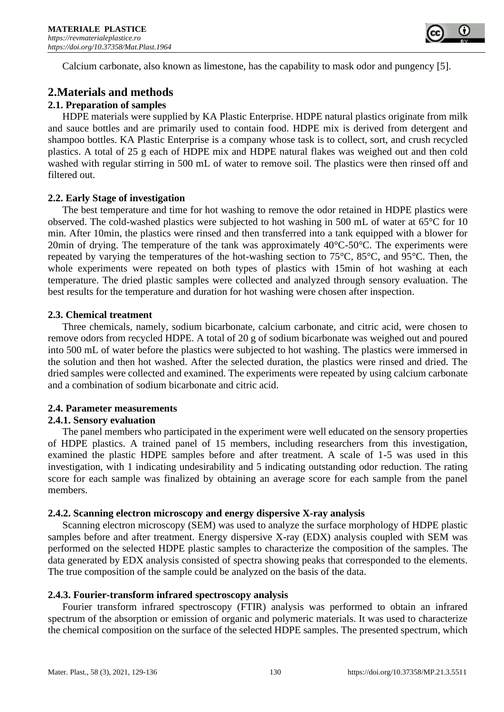

Calcium carbonate, also known as limestone, has the capability to mask odor and pungency [5].

# **2.Materials and methods**

### **2.1. Preparation of samples**

HDPE materials were supplied by KA Plastic Enterprise. HDPE natural plastics originate from milk and sauce bottles and are primarily used to contain food. HDPE mix is derived from detergent and shampoo bottles. KA Plastic Enterprise is a company whose task is to collect, sort, and crush recycled plastics. A total of 25 g each of HDPE mix and HDPE natural flakes was weighed out and then cold washed with regular stirring in 500 mL of water to remove soil. The plastics were then rinsed off and filtered out.

#### **2.2. Early Stage of investigation**

The best temperature and time for hot washing to remove the odor retained in HDPE plastics were observed. The cold-washed plastics were subjected to hot washing in 500 mL of water at 65°C for 10 min. After 10min, the plastics were rinsed and then transferred into a tank equipped with a blower for 20min of drying. The temperature of the tank was approximately  $40^{\circ}$ C-50 $^{\circ}$ C. The experiments were repeated by varying the temperatures of the hot-washing section to 75°C, 85°C, and 95°C. Then, the whole experiments were repeated on both types of plastics with 15min of hot washing at each temperature. The dried plastic samples were collected and analyzed through sensory evaluation. The best results for the temperature and duration for hot washing were chosen after inspection.

#### **2.3. Chemical treatment**

Three chemicals, namely, sodium bicarbonate, calcium carbonate, and citric acid, were chosen to remove odors from recycled HDPE. A total of 20 g of sodium bicarbonate was weighed out and poured into 500 mL of water before the plastics were subjected to hot washing. The plastics were immersed in the solution and then hot washed. After the selected duration, the plastics were rinsed and dried. The dried samples were collected and examined. The experiments were repeated by using calcium carbonate and a combination of sodium bicarbonate and citric acid.

#### **2.4. Parameter measurements**

# **2.4.1. Sensory evaluation**

The panel members who participated in the experiment were well educated on the sensory properties of HDPE plastics. A trained panel of 15 members, including researchers from this investigation, examined the plastic HDPE samples before and after treatment. A scale of 1-5 was used in this investigation, with 1 indicating undesirability and 5 indicating outstanding odor reduction. The rating score for each sample was finalized by obtaining an average score for each sample from the panel members.

#### **2.4.2. Scanning electron microscopy and energy dispersive X-ray analysis**

Scanning electron microscopy (SEM) was used to analyze the surface morphology of HDPE plastic samples before and after treatment. Energy dispersive X-ray (EDX) analysis coupled with SEM was performed on the selected HDPE plastic samples to characterize the composition of the samples. The data generated by EDX analysis consisted of spectra showing peaks that corresponded to the elements. The true composition of the sample could be analyzed on the basis of the data.

#### **2.4.3. Fourier-transform infrared spectroscopy analysis**

Fourier transform infrared spectroscopy (FTIR) analysis was performed to obtain an infrared spectrum of the absorption or emission of organic and polymeric materials. It was used to characterize the chemical composition on the surface of the selected HDPE samples. The presented spectrum, which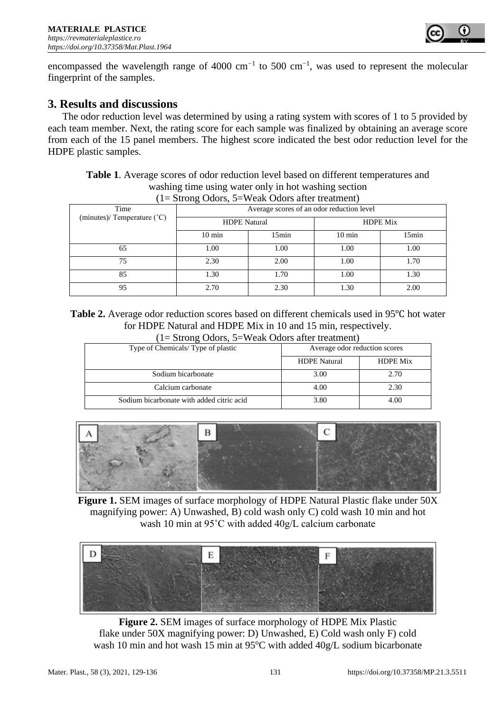

encompassed the wavelength range of 4000 cm<sup>-1</sup> to 500 cm<sup>-1</sup>, was used to represent the molecular fingerprint of the samples.

# **3. Results and discussions**

The odor reduction level was determined by using a rating system with scores of 1 to 5 provided by each team member. Next, the rating score for each sample was finalized by obtaining an average score from each of the 15 panel members. The highest score indicated the best odor reduction level for the HDPE plastic samples.

**Table 1**. Average scores of odor reduction level based on different temperatures and washing time using water only in hot washing section  $(1-\text{Stron}_\theta \Omega)$  Odors,  $5-\text{Weak}$  Odors after treatment)

| $1 - 300$ lig Odors, $3 - w$ can Odors after treatment) |                                           |       |                  |       |
|---------------------------------------------------------|-------------------------------------------|-------|------------------|-------|
| Time                                                    | Average scores of an odor reduction level |       |                  |       |
| (minutes)/ Temperature $(^{\circ}C)$                    | <b>HDPE</b> Natural                       |       | <b>HDPE Mix</b>  |       |
|                                                         | $10 \text{ min}$                          | 15min | $10 \text{ min}$ | 15min |
| 65                                                      | 1.00                                      | 1.00  | 1.00             | 1.00  |
| 75                                                      | 2.30                                      | 2.00  | 1.00             | 1.70  |
| 85                                                      | 1.30                                      | 1.70  | 1.00             | 1.30  |
| 95                                                      | 2.70                                      | 2.30  | 1.30             | 2.00  |

**Table 2.** Average odor reduction scores based on different chemicals used in 95℃ hot water for HDPE Natural and HDPE Mix in 10 and 15 min, respectively.  $(1-\text{Stron}\,\alpha \Omega)$  Odors,  $5-\text{W}$ cak Odors after treatment

| $(1=$ Strong Odors, $3=$ weak Odors after treatment) |                               |                 |  |  |
|------------------------------------------------------|-------------------------------|-----------------|--|--|
| Type of Chemicals/Type of plastic                    | Average odor reduction scores |                 |  |  |
|                                                      | <b>HDPE</b> Natural           | <b>HDPE Mix</b> |  |  |
| Sodium bicarbonate                                   | 3.00                          | 2.70            |  |  |
| Calcium carbonate                                    | 4.00                          | 2.30            |  |  |
| Sodium bicarbonate with added citric acid            | 3.80                          | 4.00            |  |  |



**Figure 1.** SEM images of surface morphology of HDPE Natural Plastic flake under 50X magnifying power: A) Unwashed, B) cold wash only C) cold wash 10 min and hot wash 10 min at 95˚C with added 40g/L calcium carbonate



**Figure 2.** SEM images of surface morphology of HDPE Mix Plastic flake under 50X magnifying power: D) Unwashed, E) Cold wash only F) cold wash 10 min and hot wash 15 min at 95°C with added  $40g/L$  sodium bicarbonate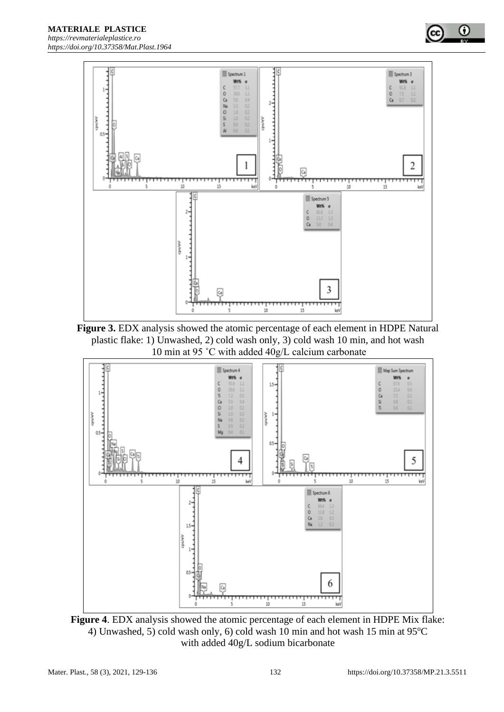

**Figure 3.** EDX analysis showed the atomic percentage of each element in HDPE Natural plastic flake: 1) Unwashed, 2) cold wash only, 3) cold wash 10 min, and hot wash 10 min at 95 ˚C with added 40g/L calcium carbonate



**Figure 4**. EDX analysis showed the atomic percentage of each element in HDPE Mix flake: 4) Unwashed, 5) cold wash only, 6) cold wash 10 min and hot wash 15 min at  $95^{\circ}$ C with added 40g/L sodium bicarbonate

ο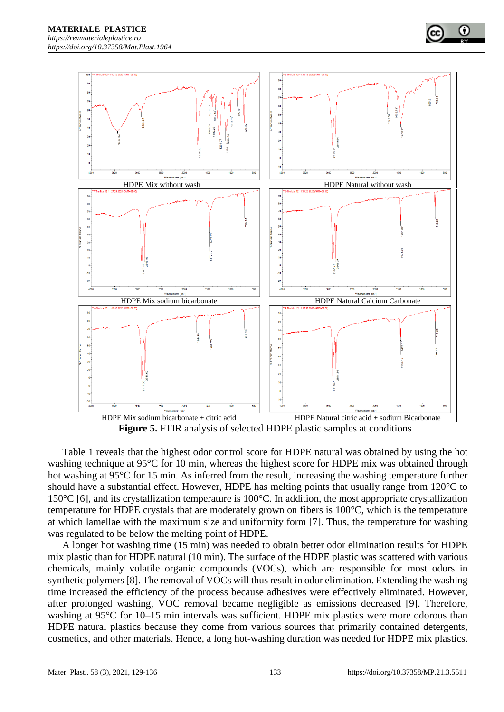

**Figure 5.** FTIR analysis of selected HDPE plastic samples at conditions

Table 1 reveals that the highest odor control score for HDPE natural was obtained by using the hot washing technique at 95°C for 10 min, whereas the highest score for HDPE mix was obtained through hot washing at 95°C for 15 min. As inferred from the result, increasing the washing temperature further should have a substantial effect. However, HDPE has melting points that usually range from 120°C to 150°C [6], and its crystallization temperature is 100°C. In addition, the most appropriate crystallization temperature for HDPE crystals that are moderately grown on fibers is 100°C, which is the temperature at which lamellae with the maximum size and uniformity form [7]. Thus, the temperature for washing was regulated to be below the melting point of HDPE.

A longer hot washing time (15 min) was needed to obtain better odor elimination results for HDPE mix plastic than for HDPE natural (10 min). The surface of the HDPE plastic was scattered with various chemicals, mainly volatile organic compounds (VOCs), which are responsible for most odors in synthetic polymers [8]. The removal of VOCs will thus result in odor elimination. Extending the washing time increased the efficiency of the process because adhesives were effectively eliminated. However, after prolonged washing, VOC removal became negligible as emissions decreased [9]. Therefore, washing at 95°C for 10–15 min intervals was sufficient. HDPE mix plastics were more odorous than HDPE natural plastics because they come from various sources that primarily contained detergents, cosmetics, and other materials. Hence, a long hot-washing duration was needed for HDPE mix plastics.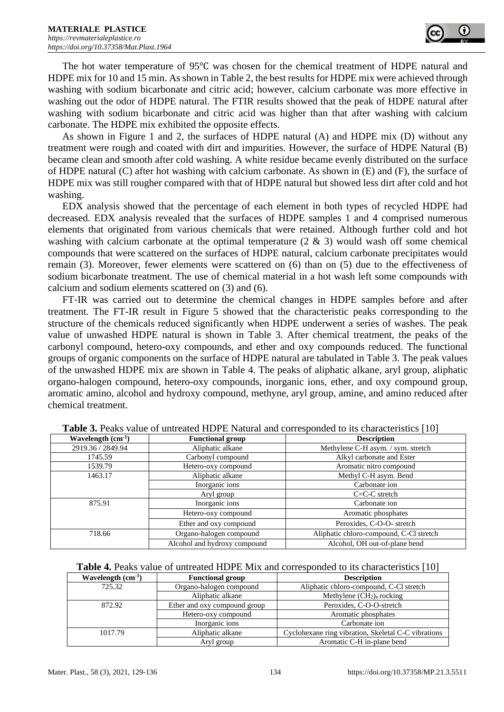The hot water temperature of 95℃ was chosen for the chemical treatment of HDPE natural and HDPE mix for 10 and 15 min. As shown in Table 2, the best results for HDPE mix were achieved through washing with sodium bicarbonate and citric acid; however, calcium carbonate was more effective in washing out the odor of HDPE natural. The FTIR results showed that the peak of HDPE natural after washing with sodium bicarbonate and citric acid was higher than that after washing with calcium carbonate. The HDPE mix exhibited the opposite effects.

As shown in Figure 1 and 2, the surfaces of HDPE natural (A) and HDPE mix (D) without any treatment were rough and coated with dirt and impurities. However, the surface of HDPE Natural (B) became clean and smooth after cold washing. A white residue became evenly distributed on the surface of HDPE natural (C) after hot washing with calcium carbonate. As shown in (E) and (F), the surface of HDPE mix was still rougher compared with that of HDPE natural but showed less dirt after cold and hot washing.

EDX analysis showed that the percentage of each element in both types of recycled HDPE had decreased. EDX analysis revealed that the surfaces of HDPE samples 1 and 4 comprised numerous elements that originated from various chemicals that were retained. Although further cold and hot washing with calcium carbonate at the optimal temperature  $(2 \& 3)$  would wash off some chemical compounds that were scattered on the surfaces of HDPE natural, calcium carbonate precipitates would remain (3). Moreover, fewer elements were scattered on (6) than on (5) due to the effectiveness of sodium bicarbonate treatment. The use of chemical material in a hot wash left some compounds with calcium and sodium elements scattered on (3) and (6).

FT-IR was carried out to determine the chemical changes in HDPE samples before and after treatment. The FT-IR result in Figure 5 showed that the characteristic peaks corresponding to the structure of the chemicals reduced significantly when HDPE underwent a series of washes. The peak value of unwashed HDPE natural is shown in Table 3. After chemical treatment, the peaks of the carbonyl compound, hetero-oxy compounds, and ether and oxy compounds reduced. The functional groups of organic components on the surface of HDPE natural are tabulated in Table 3. The peak values of the unwashed HDPE mix are shown in Table 4. The peaks of aliphatic alkane, aryl group, aliphatic organo-halogen compound, hetero-oxy compounds, inorganic ions, ether, and oxy compound group, aromatic amino, alcohol and hydroxy compound, methyne, aryl group, amine, and amino reduced after chemical treatment.

| Wavelength $(cm-1)$ | <b>Functional group</b>      | <b>Description</b>                      |
|---------------------|------------------------------|-----------------------------------------|
| 2919.36 / 2849.94   | Aliphatic alkane             | Methylene C-H asym. / sym. stretch      |
| 1745.59             | Carbonyl compound            | Alkyl carbonate and Ester               |
| 1539.79             | Hetero-oxy compound          | Aromatic nitro compound                 |
| 1463.17             | Aliphatic alkane             | Methyl C-H asym. Bend                   |
|                     | Inorganic ions               | Carbonate ion                           |
|                     | Aryl group                   | $C=C-C$ stretch                         |
| 875.91              | Inorganic ions               | Carbonate ion                           |
|                     | Hetero-oxy compound          | Aromatic phosphates                     |
|                     | Ether and oxy compound       | Peroxides, C-O-O- stretch               |
| 718.66              | Organo-halogen compound      | Aliphatic chloro-compound, C-Cl stretch |
|                     | Alcohol and hydroxy compound | Alcohol, OH out-of-plane bend           |

| Table 3. Peaks value of untreated HDPE Natural and corresponded to its characteristics [10] |  |
|---------------------------------------------------------------------------------------------|--|
|---------------------------------------------------------------------------------------------|--|

| <b>Table 4.</b> Peaks value of untreated HDPE Mix and corresponded to its characteristics [10] |  |  |  |  |
|------------------------------------------------------------------------------------------------|--|--|--|--|
|------------------------------------------------------------------------------------------------|--|--|--|--|

| Wavelength $(cm-1)$ | <b>Functional group</b>      | <b>Description</b>                                  |
|---------------------|------------------------------|-----------------------------------------------------|
| 725.32              | Organo-halogen compound      | Aliphatic chloro-compound, C-Cl stretch             |
|                     | Aliphatic alkane             | Methylene $(CH_2)$ <sub>n</sub> rocking             |
| 872.92              | Ether and oxy compound group | Peroxides, C-O-O-stretch                            |
|                     | Hetero-oxy compound          | Aromatic phosphates                                 |
|                     | Inorganic ions               | Carbonate ion                                       |
| 1017.79             | Aliphatic alkane             | Cyclohexane ring vibration, Skeletal C-C vibrations |
|                     | Aryl group                   | Aromatic C-H in-plane bend                          |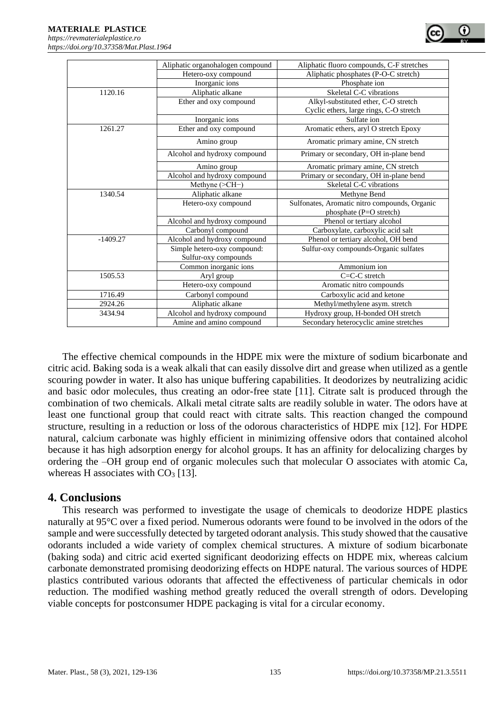|            | Aliphatic organohalogen compound | Aliphatic fluoro compounds, C-F stretches     |
|------------|----------------------------------|-----------------------------------------------|
|            | Hetero-oxy compound              | Aliphatic phosphates (P-O-C stretch)          |
|            | Inorganic ions                   | Phosphate ion                                 |
| 1120.16    | Aliphatic alkane                 | Skeletal C-C vibrations                       |
|            | Ether and oxy compound           | Alkyl-substituted ether, C-O stretch          |
|            |                                  | Cyclic ethers, large rings, C-O stretch       |
|            | Inorganic ions                   | Sulfate ion                                   |
| 1261.27    | Ether and oxy compound           | Aromatic ethers, aryl O stretch Epoxy         |
|            | Amino group                      | Aromatic primary amine, CN stretch            |
|            | Alcohol and hydroxy compound     | Primary or secondary, OH in-plane bend        |
|            | Amino group                      | Aromatic primary amine, CN stretch            |
|            | Alcohol and hydroxy compound     | Primary or secondary, OH in-plane bend        |
|            | Methyne (>CH-)                   | Skeletal C-C vibrations                       |
| 1340.54    | Aliphatic alkane                 | Methyne Bend                                  |
|            | Hetero-oxy compound              | Sulfonates, Aromatic nitro compounds, Organic |
|            |                                  | phosphate (P=O stretch)                       |
|            | Alcohol and hydroxy compound     | Phenol or tertiary alcohol                    |
|            | Carbonyl compound                | Carboxylate, carboxylic acid salt             |
| $-1409.27$ | Alcohol and hydroxy compound     | Phenol or tertiary alcohol, OH bend           |
|            | Simple hetero-oxy compound:      | Sulfur-oxy compounds-Organic sulfates         |
|            | Sulfur-oxy compounds             |                                               |
|            | Common inorganic ions            | Ammonium ion                                  |
| 1505.53    | Aryl group                       | $C=C-C$ stretch                               |
|            | Hetero-oxy compound              | Aromatic nitro compounds                      |
| 1716.49    | Carbonyl compound                | Carboxylic acid and ketone                    |
| 2924.26    | Aliphatic alkane                 | Methyl/methylene asym. stretch                |
| 3434.94    | Alcohol and hydroxy compound     | Hydroxy group, H-bonded OH stretch            |
|            | Amine and amino compound         | Secondary heterocyclic amine stretches        |

The effective chemical compounds in the HDPE mix were the mixture of sodium bicarbonate and citric acid. Baking soda is a weak alkali that can easily dissolve dirt and grease when utilized as a gentle scouring powder in water. It also has unique buffering capabilities. It deodorizes by neutralizing acidic and basic odor molecules, thus creating an odor-free state [11]. Citrate salt is produced through the combination of two chemicals. Alkali metal citrate salts are readily soluble in water. The odors have at least one functional group that could react with citrate salts. This reaction changed the compound structure, resulting in a reduction or loss of the odorous characteristics of HDPE mix [12]. For HDPE natural, calcium carbonate was highly efficient in minimizing offensive odors that contained alcohol because it has high adsorption energy for alcohol groups. It has an affinity for delocalizing charges by ordering the –OH group end of organic molecules such that molecular O associates with atomic Ca, whereas H associates with  $CO<sub>3</sub>$  [13].

# **4. Conclusions**

This research was performed to investigate the usage of chemicals to deodorize HDPE plastics naturally at 95°C over a fixed period. Numerous odorants were found to be involved in the odors of the sample and were successfully detected by targeted odorant analysis. This study showed that the causative odorants included a wide variety of complex chemical structures. A mixture of sodium bicarbonate (baking soda) and citric acid exerted significant deodorizing effects on HDPE mix, whereas calcium carbonate demonstrated promising deodorizing effects on HDPE natural. The various sources of HDPE plastics contributed various odorants that affected the effectiveness of particular chemicals in odor reduction. The modified washing method greatly reduced the overall strength of odors. Developing viable concepts for postconsumer HDPE packaging is vital for a circular economy.